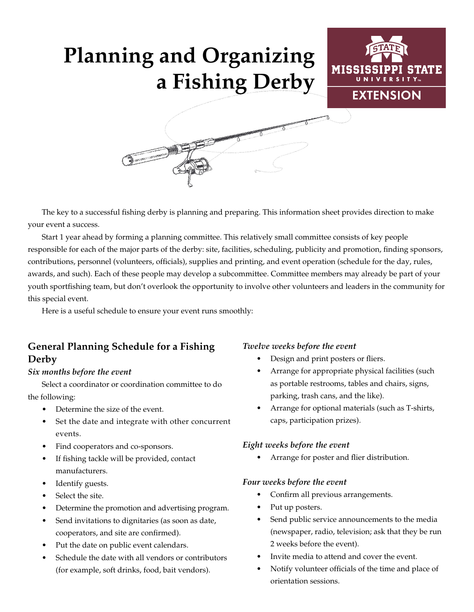# **Planning and Organizing a Fishing Derby**





The key to a successful fishing derby is planning and preparing. This information sheet provides direction to make your event a success.

Start 1 year ahead by forming a planning committee. This relatively small committee consists of key people responsible for each of the major parts of the derby: site, facilities, scheduling, publicity and promotion, finding sponsors, contributions, personnel (volunteers, officials), supplies and printing, and event operation (schedule for the day, rules, awards, and such). Each of these people may develop a subcommittee. Committee members may already be part of your youth sportfishing team, but don't overlook the opportunity to involve other volunteers and leaders in the community for this special event.

Here is a useful schedule to ensure your event runs smoothly:

## **General Planning Schedule for a Fishing Derby**

### *Six months before the event*

Select a coordinator or coordination committee to do the following:

- Determine the size of the event.
- Set the date and integrate with other concurrent events.
- Find cooperators and co-sponsors.
- If fishing tackle will be provided, contact manufacturers.
- Identify guests.
- Select the site.
- Determine the promotion and advertising program.
- Send invitations to dignitaries (as soon as date, cooperators, and site are confirmed).
- Put the date on public event calendars.
- Schedule the date with all vendors or contributors (for example, soft drinks, food, bait vendors).

### *Twelve weeks before the event*

- Design and print posters or fliers.
- Arrange for appropriate physical facilities (such as portable restrooms, tables and chairs, signs, parking, trash cans, and the like).
- Arrange for optional materials (such as T-shirts, caps, participation prizes).

#### *Eight weeks before the event*

• Arrange for poster and flier distribution.

### *Four weeks before the event*

- Confirm all previous arrangements.
- Put up posters.
- Send public service announcements to the media (newspaper, radio, television; ask that they be run 2 weeks before the event).
- Invite media to attend and cover the event.
- Notify volunteer officials of the time and place of orientation sessions.